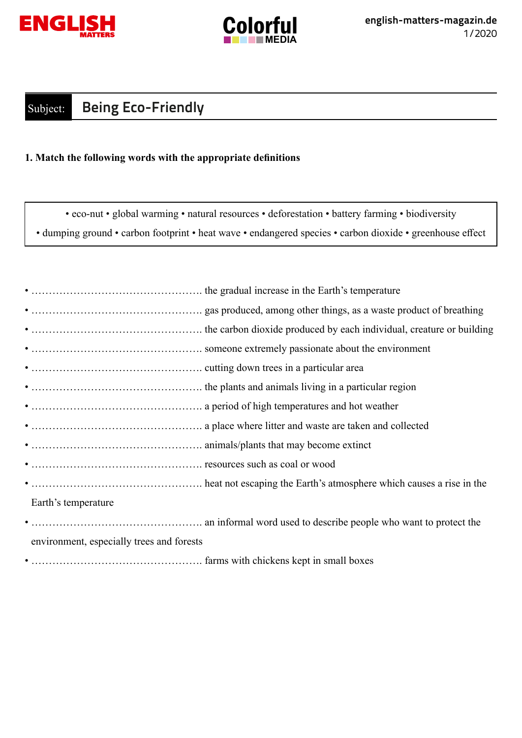



## Subject: **Being Eco-Friendly**

## **1. Match the following words with the appropriate definitions**

• eco-nut • global warming • natural resources • deforestation • battery farming • biodiversity • dumping ground • carbon footprint • heat wave • endangered species • carbon dioxide • greenhouse effect

| Earth's temperature                       |
|-------------------------------------------|
|                                           |
| environment, especially trees and forests |

• …………………………………………. farms with chickens kept in small boxes